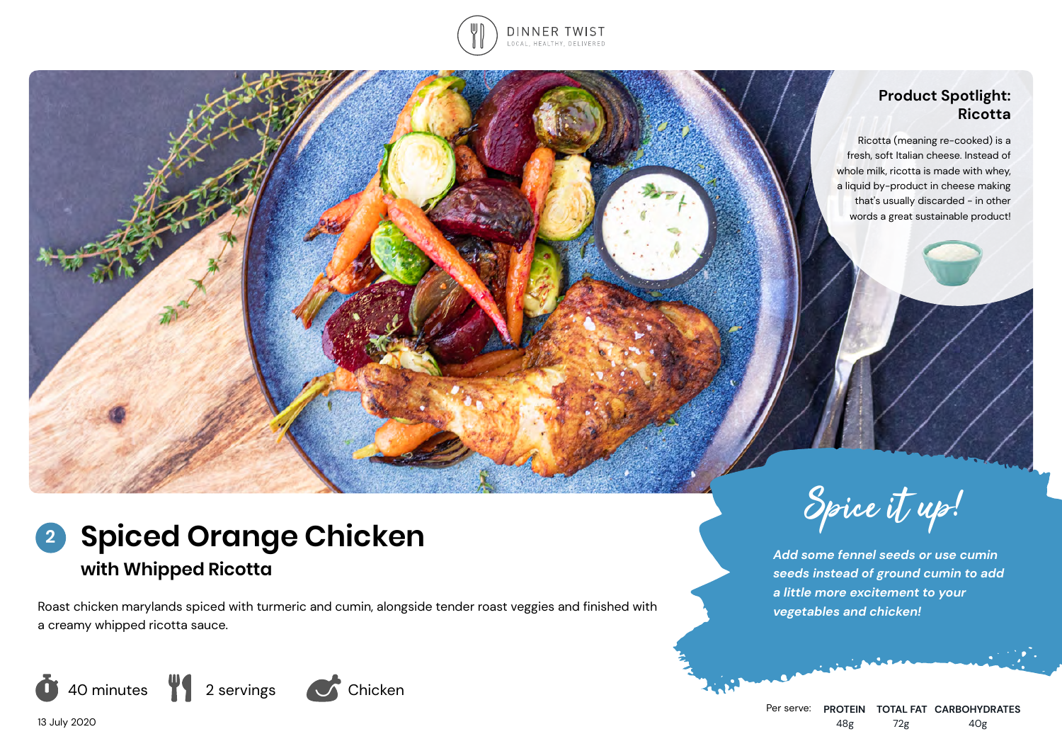

# **Product Spotlight: Ricotta**

Ricotta (meaning re-cooked) is a fresh, soft Italian cheese. Instead of whole milk, ricotta is made with whey, a liquid by-product in cheese making that's usually discarded - in other words a great sustainable product!

# **Spiced Orange Chicken 2 with Whipped Ricotta**

Roast chicken marylands spiced with turmeric and cumin, alongside tender roast veggies and finished with a creamy whipped ricotta sauce.





*Add some fennel seeds or use cumin seeds instead of ground cumin to add a little more excitement to your vegetables and chicken!*